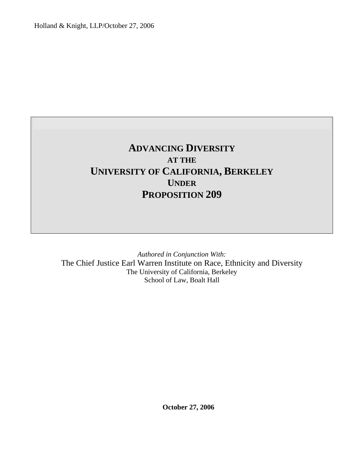Holland & Knight, LLP/October 27, 2006

# **ADVANCING DIVERSITY AT THE UNIVERSITY OF CALIFORNIA, BERKELEY UNDER PROPOSITION 209**

*Authored in Conjunction With:*  The Chief Justice Earl Warren Institute on Race, Ethnicity and Diversity The University of California, Berkeley School of Law, Boalt Hall

**October 27, 2006**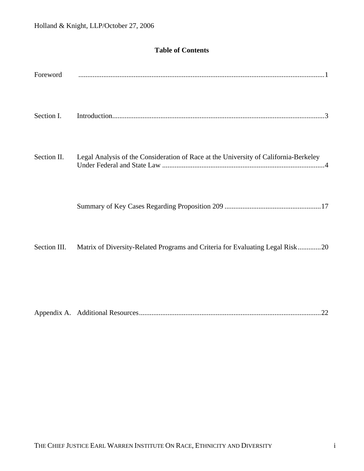# **Table of Contents**

| Foreword     |                                                                                      |
|--------------|--------------------------------------------------------------------------------------|
| Section I.   |                                                                                      |
| Section II.  | Legal Analysis of the Consideration of Race at the University of California-Berkeley |
|              |                                                                                      |
| Section III. | Matrix of Diversity-Related Programs and Criteria for Evaluating Legal Risk20        |
|              |                                                                                      |
|              |                                                                                      |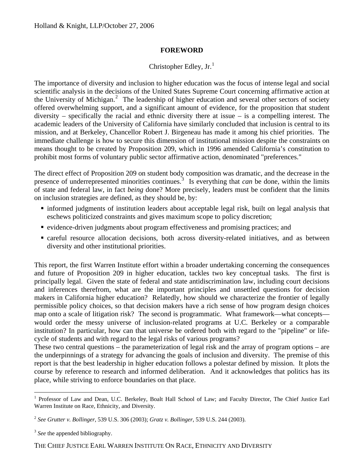#### **FOREWORD**

## Christopher Edley, Jr.<sup>[1](#page-2-0)</sup>

The importance of diversity and inclusion to higher education was the focus of intense legal and social scientific analysis in the decisions of the United States Supreme Court concerning affirmative action at the University of Michigan.<sup>[2](#page-2-1)</sup> The leadership of higher education and several other sectors of society offered overwhelming support, and a significant amount of evidence, for the proposition that student diversity – specifically the racial and ethnic diversity there at issue – is a compelling interest. The academic leaders of the University of California have similarly concluded that inclusion is central to its mission, and at Berkeley, Chancellor Robert J. Birgeneau has made it among his chief priorities. The immediate challenge is how to secure this dimension of institutional mission despite the constraints on means thought to be created by Proposition 209, which in 1996 amended California's constitution to prohibit most forms of voluntary public sector affirmative action, denominated "preferences."

The direct effect of Proposition 209 on student body composition was dramatic, and the decrease in the presence of underrepresented minorities continues.<sup>[3](#page-2-2)</sup> Is everything that *can* be done, within the limits of state and federal law, in fact *being* done? More precisely, leaders must be confident that the limits on inclusion strategies are defined, as they should be, by:

- informed judgments of institution leaders about acceptable legal risk, built on legal analysis that eschews politicized constraints and gives maximum scope to policy discretion;
- evidence-driven judgments about program effectiveness and promising practices; and
- careful resource allocation decisions, both across diversity-related initiatives, and as between diversity and other institutional priorities.

This report, the first Warren Institute effort within a broader undertaking concerning the consequences and future of Proposition 209 in higher education, tackles two key conceptual tasks. The first is principally legal. Given the state of federal and state antidiscrimination law, including court decisions and inferences therefrom, what are the important principles and unsettled questions for decision makers in California higher education? Relatedly, how should we characterize the frontier of legally permissible policy choices, so that decision makers have a rich sense of how program design choices map onto a scale of litigation risk? The second is programmatic. What framework—what concepts would order the messy universe of inclusion-related programs at U.C. Berkeley or a comparable institution? In particular, how can that universe be ordered both with regard to the "pipeline" or lifecycle of students and with regard to the legal risks of various programs?

These two central questions – the parameterization of legal risk and the array of program options – are the underpinnings of a strategy for advancing the goals of inclusion and diversity. The premise of this report is that the best leadership in higher education follows a polestar defined by mission. It plots the course by reference to research and informed deliberation. And it acknowledges that politics has its place, while striving to enforce boundaries on that place.

 $\overline{a}$ 

<span id="page-2-2"></span><span id="page-2-1"></span><span id="page-2-0"></span>THE CHIEF JUSTICE EARL WARREN INSTITUTE ON RACE, ETHNICITY AND DIVERSITY

<sup>&</sup>lt;sup>1</sup> Professor of Law and Dean, U.C. Berkeley, Boalt Hall School of Law; and Faculty Director, The Chief Justice Earl Warren Institute on Race, Ethnicity, and Diversity.

<sup>2</sup> *See Grutter v. Bollinger*, 539 U.S. 306 (2003); *Gratz v. Bollinger*, 539 U.S. 244 (2003).

<sup>&</sup>lt;sup>3</sup> See the appended bibliography.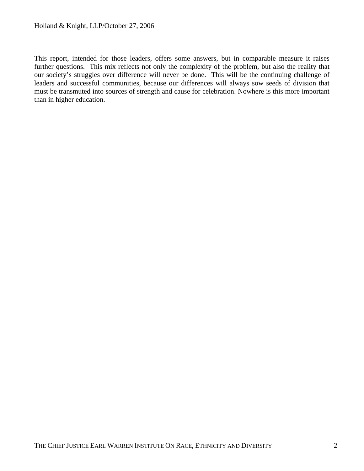This report, intended for those leaders, offers some answers, but in comparable measure it raises further questions. This mix reflects not only the complexity of the problem, but also the reality that our society's struggles over difference will never be done. This will be the continuing challenge of leaders and successful communities, because our differences will always sow seeds of division that must be transmuted into sources of strength and cause for celebration. Nowhere is this more important than in higher education.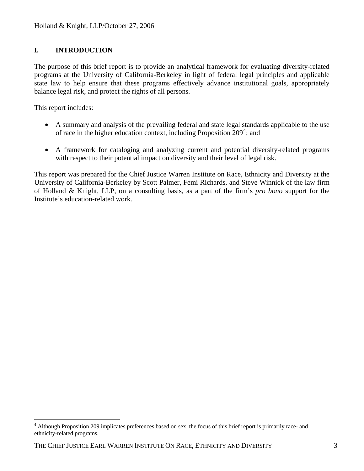### <span id="page-4-0"></span>**I. INTRODUCTION**

The purpose of this brief report is to provide an analytical framework for evaluating diversity-related programs at the University of California-Berkeley in light of federal legal principles and applicable state law to help ensure that these programs effectively advance institutional goals, appropriately balance legal risk, and protect the rights of all persons.

This report includes:

 $\overline{a}$ 

- A summary and analysis of the prevailing federal and state legal standards applicable to the use of race in the higher education context, including Proposition  $209^4$  $209^4$ ; and
- A framework for cataloging and analyzing current and potential diversity-related programs with respect to their potential impact on diversity and their level of legal risk.

This report was prepared for the Chief Justice Warren Institute on Race, Ethnicity and Diversity at the University of California-Berkeley by Scott Palmer, Femi Richards, and Steve Winnick of the law firm of Holland & Knight, LLP, on a consulting basis, as a part of the firm's *pro bono* support for the Institute's education-related work.

<sup>&</sup>lt;sup>4</sup> Although Proposition 209 implicates preferences based on sex, the focus of this brief report is primarily race- and ethnicity-related programs.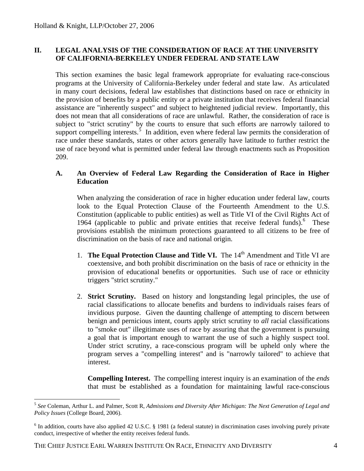#### <span id="page-5-0"></span>**II. LEGAL ANALYSIS OF THE CONSIDERATION OF RACE AT THE UNIVERSITY OF CALIFORNIA-BERKELEY UNDER FEDERAL AND STATE LAW**

This section examines the basic legal framework appropriate for evaluating race-conscious programs at the University of California-Berkeley under federal and state law. As articulated in many court decisions, federal law establishes that distinctions based on race or ethnicity in the provision of benefits by a public entity or a private institution that receives federal financial assistance are "inherently suspect" and subject to heightened judicial review. Importantly, this does not mean that all considerations of race are unlawful. Rather, the consideration of race is subject to "strict scrutiny" by the courts to ensure that such efforts are narrowly tailored to support compelling interests.<sup>[5](#page-5-0)</sup> In addition, even where federal law permits the consideration of race under these standards, states or other actors generally have latitude to further restrict the use of race beyond what is permitted under federal law through enactments such as Proposition 209.

#### **A. An Overview of Federal Law Regarding the Consideration of Race in Higher Education**

When analyzing the consideration of race in higher education under federal law, courts look to the Equal Protection Clause of the Fourteenth Amendment to the U.S. Constitution (applicable to public entities) as well as Title VI of the Civil Rights Act of 19[6](#page-5-0)4 (applicable to public and private entities that receive federal funds).<sup>6</sup> These provisions establish the minimum protections guaranteed to all citizens to be free of discrimination on the basis of race and national origin.

- 1. **The Equal Protection Clause and Title VI.** The 14th Amendment and Title VI are coextensive, and both prohibit discrimination on the basis of race or ethnicity in the provision of educational benefits or opportunities. Such use of race or ethnicity triggers "strict scrutiny."
- 2. **Strict Scrutiny.** Based on history and longstanding legal principles, the use of racial classifications to allocate benefits and burdens to individuals raises fears of invidious purpose. Given the daunting challenge of attempting to discern between benign and pernicious intent, courts apply strict scrutiny to *all* racial classifications to "smoke out" illegitimate uses of race by assuring that the government is pursuing a goal that is important enough to warrant the use of such a highly suspect tool. Under strict scrutiny, a race-conscious program will be upheld only where the program serves a "compelling interest" and is "narrowly tailored" to achieve that interest.

**Compelling Interest.** The compelling interest inquiry is an examination of the *ends* that must be established as a foundation for maintaining lawful race-conscious

<sup>5</sup> *See* Coleman, Arthur L. and Palmer, Scott R, *Admissions and Diversity After Michigan: The Next Generation of Legal and Policy Issues* (College Board, 2006).

 $6$  In addition, courts have also applied 42 U.S.C. § 1981 (a federal statute) in discrimination cases involving purely private conduct, irrespective of whether the entity receives federal funds.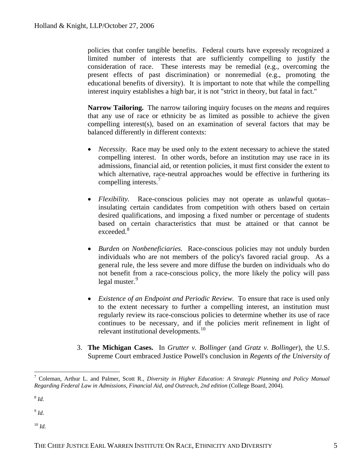<span id="page-6-0"></span>policies that confer tangible benefits. Federal courts have expressly recognized a limited number of interests that are sufficiently compelling to justify the consideration of race. These interests may be remedial (e.g., overcoming the present effects of past discrimination) or nonremedial (e.g., promoting the educational benefits of diversity). It is important to note that while the compelling interest inquiry establishes a high bar, it is not "strict in theory, but fatal in fact."

**Narrow Tailoring.** The narrow tailoring inquiry focuses on the *means* and requires that any use of race or ethnicity be as limited as possible to achieve the given compelling interest(s), based on an examination of several factors that may be balanced differently in different contexts:

- *Necessity.* Race may be used only to the extent necessary to achieve the stated compelling interest. In other words, before an institution may use race in its admissions, financial aid, or retention policies, it must first consider the extent to which alternative, race-neutral approaches would be effective in furthering its compelling interests.<sup>[7](#page-6-0)</sup>
- *Flexibility*. Race-conscious policies may not operate as unlawful quotas– insulating certain candidates from competition with others based on certain desired qualifications, and imposing a fixed number or percentage of students based on certain characteristics that must be attained or that cannot be exceeded. $8$
- *Burden on Nonbeneficiaries.* Race-conscious policies may not unduly burden individuals who are not members of the policy's favored racial group. As a general rule, the less severe and more diffuse the burden on individuals who do not benefit from a race-conscious policy, the more likely the policy will pass legal muster.<sup>[9](#page-6-0)</sup>
- *Existence of an Endpoint and Periodic Review.* To ensure that race is used only to the extent necessary to further a compelling interest, an institution must regularly review its race-conscious policies to determine whether its use of race continues to be necessary, and if the policies merit refinement in light of relevant institutional developments. $10<sup>10</sup>$  $10<sup>10</sup>$
- 3. **The Michigan Cases.** In *Grutter v. Bollinger* (and *Gratz v. Bollinger*), the U.S. Supreme Court embraced Justice Powell's conclusion in *Regents of the University of*

 $10 \frac{1}{d}$ 

 $\overline{a}$ 7 Coleman, Arthur L. and Palmer, Scott R., *Diversity in Higher Education: A Strategic Planning and Policy Manual Regarding Federal Law in Admissions, Financial Aid, and Outreach, 2nd edition* (College Board, 2004).

<sup>8</sup> *Id.*

<sup>9</sup> *Id.*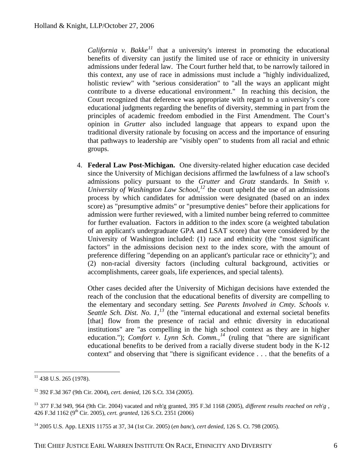<span id="page-7-0"></span>*California v. Bakke*<sup> $11$ </sup> that a university's interest in promoting the educational benefits of diversity can justify the limited use of race or ethnicity in university admissions under federal law. The Court further held that, to be narrowly tailored in this context, any use of race in admissions must include a "highly individualized, holistic review" with "serious consideration" to "all the ways an applicant might contribute to a diverse educational environment." In reaching this decision, the Court recognized that deference was appropriate with regard to a university's core educational judgments regarding the benefits of diversity, stemming in part from the principles of academic freedom embodied in the First Amendment. The Court's opinion in *Grutter* also included language that appears to expand upon the traditional diversity rationale by focusing on access and the importance of ensuring that pathways to leadership are "visibly open" to students from all racial and ethnic groups.

4. **Federal Law Post-Michigan.** One diversity-related higher education case decided since the University of Michigan decisions affirmed the lawfulness of a law school's admissions policy pursuant to the *Grutter* and *Gratz* standards. In *Smith v. University of Washington Law School,[12](#page-7-0)* the court upheld the use of an admissions process by which candidates for admission were designated (based on an index score) as "presumptive admits" or "presumptive denies" before their applications for admission were further reviewed, with a limited number being referred to committee for further evaluation. Factors in addition to the index score (a weighted tabulation of an applicant's undergraduate GPA and LSAT score) that were considered by the University of Washington included: (1) race and ethnicity (the "most significant factors" in the admissions decision next to the index score, with the amount of preference differing "depending on an applicant's particular race or ethnicity"); and (2) non-racial diversity factors (including cultural background, activities or accomplishments, career goals, life experiences, and special talents).

Other cases decided after the University of Michigan decisions have extended the reach of the conclusion that the educational benefits of diversity are compelling to the elementary and secondary setting. *See Parents Involved in Cmty. Schools v. Seattle Sch. Dist. No. 1,[13](#page-7-0)* (the "internal educational and external societal benefits [that] flow from the presence of racial and ethnic diversity in educational institutions" are "as compelling in the high school context as they are in higher education."); *Comfort v. Lynn Sch. Comm.*, <sup>[14](#page-7-0)</sup> (ruling that "there are significant educational benefits to be derived from a racially diverse student body in the K-12 context" and observing that "there is significant evidence . . . that the benefits of a

 $11$  438 U.S. 265 (1978).

<sup>12 392</sup> F.3d 367 (9th Cir. 2004), *cert. denied*, 126 S.Ct. 334 (2005).

<sup>13 377</sup> F.3d 949, 964 (9th Cir. 2004) vacated and reh'g granted, 395 F.3d 1168 (2005), *different results reached on reh'g* , 426 F.3d 1162 (9th Cir. 2005), *cert. granted*, 126 S.Ct. 2351 (2006)

<sup>14 2005</sup> U.S. App. LEXIS 11755 at 37, 34 (1st Cir. 2005) (*en banc*), *cert denied*, 126 S. Ct. 798 (2005).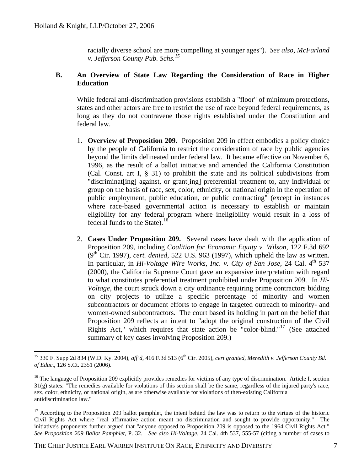racially diverse school are more compelling at younger ages"). *See also, McFarland v. Jefferson County Pub. Schs.[15](#page-8-0)*

#### <span id="page-8-0"></span>**B. An Overview of State Law Regarding the Consideration of Race in Higher Education**

While federal anti-discrimination provisions establish a "floor" of minimum protections, states and other actors are free to restrict the use of race beyond federal requirements, as long as they do not contravene those rights established under the Constitution and federal law.

- 1. **Overview of Proposition 209.** Proposition 209 in effect embodies a policy choice by the people of California to restrict the consideration of race by public agencies beyond the limits delineated under federal law. It became effective on November 6, 1996, as the result of a ballot initiative and amended the California Constitution (Cal. Const. art I, § 31) to prohibit the state and its political subdivisions from "discriminat[ing] against, or grant[ing] preferential treatment to, any individual or group on the basis of race, sex, color, ethnicity, or national origin in the operation of public employment, public education, or public contracting" (except in instances where race-based governmental action is necessary to establish or maintain eligibility for any federal program where ineligibility would result in a loss of federal funds to the State). $16$
- 2. **Cases Under Proposition 209.** Several cases have dealt with the application of Proposition 209, including *Coalition for Economic Equity v. Wilson*, 122 F.3d 692  $(9<sup>th</sup> Cir. 1997)$ , *cert. denied*, 522 U.S. 963 (1997), which upheld the law as written. In particular, in *Hi-Voltage Wire Works, Inc. v. City of San Jose*, 24 Cal. 4<sup>th</sup> 537 (2000), the California Supreme Court gave an expansive interpretation with regard to what constitutes preferential treatment prohibited under Proposition 209. In *Hi-Voltage*, the court struck down a city ordinance requiring prime contractors bidding on city projects to utilize a specific percentage of minority and women subcontractors or document efforts to engage in targeted outreach to minority- and women-owned subcontractors. The court based its holding in part on the belief that Proposition 209 reflects an intent to "adopt the original construction of the Civil Rights Act," which requires that state action be "color-blind."<sup>[17](#page-8-0)</sup> (See attached summary of key cases involving Proposition 209.)

 $\overline{a}$ 15 330 F. Supp 2d 834 (W.D. Ky. 2004), *aff'd*, 416 F.3d 513 (6th Cir. 2005), *cert granted*, *Meredith v. Jefferson County Bd. of Educ*., 126 S.Ct. 2351 (2006).

 $16$  The language of Proposition 209 explicitly provides remedies for victims of any type of discrimination. Article I, section  $31(g)$  states: "The remedies available for violations of this section shall be the same, regardless of the injured party's race, sex, color, ethnicity, or national origin, as are otherwise available for violations of then-existing California antidiscrimination law."

 $17$  According to the Proposition 209 ballot pamphlet, the intent behind the law was to return to the virtues of the historic Civil Rights Act where "real affirmative action meant no discrimination and sought to provide opportunity." The initiative's proponents further argued that "anyone opposed to Proposition 209 is opposed to the 1964 Civil Rights Act." *See Proposition 209 Ballot Pamphlet*, P. 32. *See also Hi-Voltage,* 24 Cal. 4th 537, 555-57 (citing a number of cases to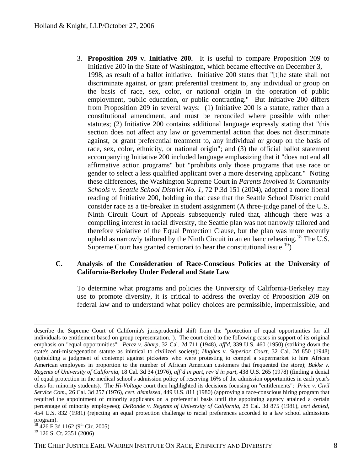<span id="page-9-0"></span>3. **Proposition 209 v. Initiative 200.** It is useful to compare Proposition 209 to Initiative 200 in the State of Washington, which became effective on December 3, 1998, as result of a ballot initiative. Initiative 200 states that "[t]he state shall not discriminate against, or grant preferential treatment to, any individual or group on the basis of race, sex, color, or national origin in the operation of public employment, public education, or public contracting." But Initiative 200 differs from Proposition 209 in several ways: (1) Initiative 200 is a statute, rather than a constitutional amendment, and must be reconciled where possible with other statutes; (2) Initiative 200 contains additional language expressly stating that "this section does not affect any law or governmental action that does not discriminate against, or grant preferential treatment to, any individual or group on the basis of race, sex, color, ethnicity, or national origin"; and (3) the official ballot statement accompanying Initiative 200 included language emphasizing that it "does not end all affirmative action programs" but "prohibits only those programs that use race or gender to select a less qualified applicant over a more deserving applicant." Noting these differences, the Washington Supreme Court in *Parents Involved in Community Schools v. Seattle School District No. 1*, 72 P.3d 151 (2004), adopted a more liberal reading of Initiative 200, holding in that case that the Seattle School District could consider race as a tie-breaker in student assignment (A three-judge panel of the U.S. Ninth Circuit Court of Appeals subsequently ruled that, although there was a compelling interest in racial diversity, the Seattle plan was not narrowly tailored and therefore violative of the Equal Protection Clause, but the plan was more recently upheld as narrowly tailored by the Ninth Circuit in an en banc rehearing.<sup>[18](#page-9-0)</sup> The U.S. Supreme Court has granted certiorari to hear the constitutional issue.<sup>[19](#page-9-0)</sup>)

#### **C. Analysis of the Consideration of Race-Conscious Policies at the University of California-Berkeley Under Federal and State Law**

To determine what programs and policies the University of California-Berkeley may use to promote diversity, it is critical to address the overlay of Proposition 209 on federal law and to understand what policy choices are permissible, impermissible, and

 $^{18}$  426 F.3d 1162 (9<sup>th</sup> Cir. 2005) <sup>19</sup> 126 S. Ct. 2351 (2006)

 $\overline{a}$ describe the Supreme Court of California's jurisprudential shift from the "protection of equal opportunities for all individuals to entitlement based on group representation*.*"). The court cited to the following cases in support of its original emphasis on "equal opportunities": *Perez v. Sharp*, 32 Cal. 2d 711 (1948), *aff'd,* 339 U.S. 460 (1950) (striking down the state's anti-miscegenation statute as inimical to civilized society); *Hughes v. Superior Court*, 32 Cal. 2d 850 (1948) (upholding a judgment of contempt against picketers who were protesting to compel a supermarket to hire African American employees in proportion to the number of African American customers that frequented the store); *Bakke v. Regents of University of California*, 18 Cal. 3d 34 (1976), *aff'd in part, rev'd in part*, 438 U.S. 265 (1978) (finding a denial of equal protection in the medical school's admission policy of reserving 16% of the admission opportunities in each year's class for minority students). The *Hi-Voltage* court then highlighted its decisions focusing on "entitlements": *Price v. Civil Service Com*., 26 Cal. 3d 257 (1976), *cert. dismissed*, 449 U.S. 811 (1980) (approving a race-conscious hiring program that required the appointment of minority applicants on a preferential basis until the appointing agency attained a certain percentage of minority employees); *DeRonde v. Regents of University of California*, 28 Cal. 3d 875 (1981), *cert denied*, 454 U.S. 832 (1981) (rejecting an equal protection challenge to racial preferences accorded to a law school admissions program).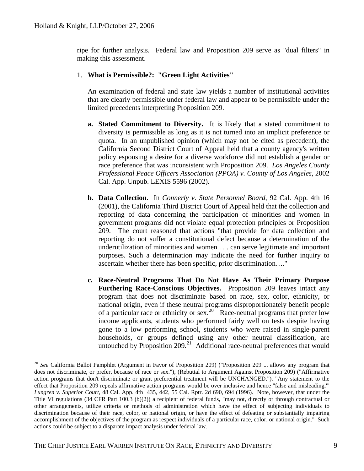<span id="page-10-0"></span>ripe for further analysis. Federal law and Proposition 209 serve as "dual filters" in making this assessment.

#### 1. **What is Permissible?: "Green Light Activities"**

An examination of federal and state law yields a number of institutional activities that are clearly permissible under federal law and appear to be permissible under the limited precedents interpreting Proposition 209.

- **a. Stated Commitment to Diversity.** It is likely that a stated commitment to diversity is permissible as long as it is not turned into an implicit preference or quota. In an unpublished opinion (which may not be cited as precedent), the California Second District Court of Appeal held that a county agency's written policy espousing a desire for a diverse workforce did not establish a gender or race preference that was inconsistent with Proposition 209. *Los Angeles County Professional Peace Officers Association (PPOA) v. County of Los Angeles*, 2002 Cal. App. Unpub. LEXIS 5596 (2002).
- **b. Data Collection.** In *Connerly v. State Personnel Board*, 92 Cal. App. 4th 16 (2001), the California Third District Court of Appeal held that the collection and reporting of data concerning the participation of minorities and women in government programs did not violate equal protection principles or Proposition 209. The court reasoned that actions "that provide for data collection and reporting do not suffer a constitutional defect because a determination of the underutilization of minorities and women . . . can serve legitimate and important purposes. Such a determination may indicate the need for further inquiry to ascertain whether there has been specific, prior discrimination…."
- **c. Race-Neutral Programs That Do Not Have As Their Primary Purpose Furthering Race-Conscious Objectives.** Proposition 209 leaves intact any program that does not discriminate based on race, sex, color, ethnicity, or national origin, even if these neutral programs disproportionately benefit people of a particular race or ethnicity or sex.<sup>[20](#page-10-0)</sup> Race-neutral programs that prefer low income applicants, students who performed fairly well on tests despite having gone to a low performing school, students who were raised in single-parent households, or groups defined using any other neutral classification, are untouched by Proposition  $209<sup>21</sup>$  $209<sup>21</sup>$  $209<sup>21</sup>$  Additional race-neutral preferences that would

<sup>20</sup> *See* California Ballot Pamphlet (Argument in Favor of Proposition 209) ("Proposition 209 ... allows any program that does not discriminate, or prefer, because of race or sex."), (Rebuttal to Argument Against Proposition 209) ("Affirmative action programs that don't discriminate or grant preferential treatment will be UNCHANGED."). "Any statement to the effect that Proposition 209 repeals affirmative action programs would be over inclusive and hence "false and misleading.'" *Lungren v. Superior Court*, 48 Cal. App. 4th 435, 442, 55 Cal. Rptr. 2d 690, 694 (1996). Note, however, that under the Title VI regulations (34 CFR Part 100.3 (b)(2)) a recipient of federal funds, "may not, directly or through contractual or other arrangements, utilize criteria or methods of administration which have the effect of subjecting individuals to discrimination because of their race, color, or national origin, or have the effect of defeating or substantially impairing accomplishment of the objectives of the program as respect individuals of a particular race, color, or national origin." Such actions could be subject to a disparate impact analysis under federal law.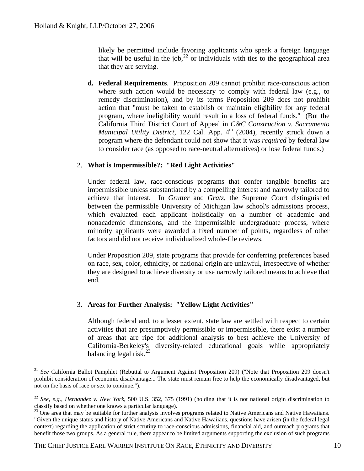<span id="page-11-0"></span>likely be permitted include favoring applicants who speak a foreign language that will be useful in the job,  $^{22}$  $^{22}$  $^{22}$  or individuals with ties to the geographical area that they are serving.

**d. Federal Requirements**. Proposition 209 cannot prohibit race-conscious action where such action would be necessary to comply with federal law (e.g., to remedy discrimination), and by its terms Proposition 209 does not prohibit action that "must be taken to establish or maintain eligibility for any federal program, where ineligibility would result in a loss of federal funds." (But the California Third District Court of Appeal in *C&C Construction v. Sacramento Municipal Utility District*, 122 Cal. App. 4<sup>th</sup> (2004), recently struck down a program where the defendant could not show that it was *required* by federal law to consider race (as opposed to race-neutral alternatives) or lose federal funds.)

#### 2. **What is Impermissible?: "Red Light Activities"**

Under federal law, race-conscious programs that confer tangible benefits are impermissible unless substantiated by a compelling interest and narrowly tailored to achieve that interest. In *Grutter* and *Gratz*, the Supreme Court distinguished between the permissible University of Michigan law school's admissions process, which evaluated each applicant holistically on a number of academic and nonacademic dimensions, and the impermissible undergraduate process, where minority applicants were awarded a fixed number of points, regardless of other factors and did not receive individualized whole-file reviews.

Under Proposition 209, state programs that provide for conferring preferences based on race, sex, color, ethnicity, or national origin are unlawful, irrespective of whether they are designed to achieve diversity or use narrowly tailored means to achieve that end.

#### 3. **Areas for Further Analysis: "Yellow Light Activities"**

Although federal and, to a lesser extent, state law are settled with respect to certain activities that are presumptively permissible or impermissible, there exist a number of areas that are ripe for additional analysis to best achieve the University of California-Berkeley's diversity-related educational goals while appropriately balancing legal risk. $^{23}$  $^{23}$  $^{23}$ 

<sup>&</sup>lt;sup>21</sup> See California Ballot Pamphlet (Rebuttal to Argument Against Proposition 209) ("Note that Proposition 209 doesn't prohibit consideration of economic disadvantage... The state must remain free to help the economically disadvantaged, but not on the basis of race or sex to continue.").

<sup>22</sup> *See, e.g., Hernandez v. New York*, 500 U.S. 352, 375 (1991) (holding that it is not national origin discrimination to classify based on whether one knows a particular language).

 $23$  One area that may be suitable for further analysis involves programs related to Native Americans and Native Hawaiians. "Given the unique status and history of Native Americans and Native Hawaiians, questions have arisen (in the federal legal context) regarding the application of strict scrutiny to race-conscious admissions, financial aid, and outreach programs that benefit those two groups. As a general rule, there appear to be limited arguments supporting the exclusion of such programs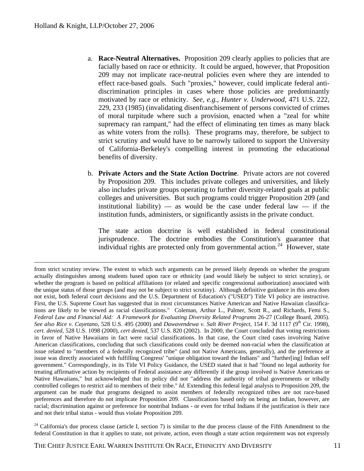- <span id="page-12-0"></span>a. **Race-Neutral Alternatives.** Proposition 209 clearly applies to policies that are facially based on race or ethnicity. It could be argued, however, that Proposition 209 may not implicate race-neutral policies even where they are intended to effect race-based goals. Such "proxies," however, could implicate federal antidiscrimination principles in cases where those policies are predominantly motivated by race or ethnicity. *See, e.g., Hunter v. Underwood*, 471 U.S. 222, 229, 233 (1985) (invalidating disenfranchisement of persons convicted of crimes of moral turpitude where such a provision, enacted when a "zeal for white supremacy ran rampant," had the effect of eliminating ten times as many black as white voters from the rolls). These programs may, therefore, be subject to strict scrutiny and would have to be narrowly tailored to support the University of California-Berkeley's compelling interest in promoting the educational benefits of diversity.
- b. **Private Actors and the State Action Doctrine**. Private actors are not covered by Proposition 209. This includes private colleges and universities, and likely also includes private groups operating to further diversity-related goals at public colleges and universities. But such programs could trigger Proposition 209 (and institutional liability) — as would be the case under federal law — if the institution funds, administers, or significantly assists in the private conduct.

 The state action doctrine is well established in federal constitutional jurisprudence. The doctrine embodies the Constitution's guarantee that individual rights are protected only from governmental action.<sup>[24](#page-12-0)</sup> However, state

 $24$  California's due process clause (article I, section 7) is similar to the due process clause of the Fifth Amendment to the federal Constitution in that it applies to state, not private, action, even though a state action requirement was not expressly

from strict scrutiny review. The extent to which such arguments can be pressed likely depends on whether the program actually distinguishes among students based upon race or ethnicity (and would likely be subject to strict scrutiny), or whether the program is based on political affiliations (or related and specific congressional authorization) associated with the unique status of those groups (and may not be subject to strict scrutiny). Although definitive guidance in this area does not exist, both federal court decisions and the U.S. Department of Education's ("USED") Title VI policy are instructive. First, the U.S. Supreme Court has suggested that in most circumstances Native American and Native Hawaiian classifications are likely to be viewed as racial classifications." Coleman, Arthur L., Palmer, Scott R., and Richards, Femi S., *Federal Law and Financial Aid: A Framework for Evaluating Diversity Related Programs* 26-27 (College Board, 2005). *See also Rice v. Cayetano*, 528 U.S. 495 (2000) and *Dawavendewa v. Salt River Project*, 154 F. 3d 1117 (9<sup>th</sup> Cir. 1998), *cert. denied*, 528 U.S. 1098 (2000), *cert denied*, 537 U.S. 820 (2002). In 2000, the Court concluded that voting restrictions in favor of Native Hawaiians in fact were racial classifications. In that case, the Court cited cases involving Native American classifications, concluding that such classifications could only be deemed non-racial when the classification at issue related to "members of a federally recognized tribe" (and not Native Americans, generally), and the preference at issue was directly associated with fulfilling Congress' "unique obligation toward the Indians" and "further[ing] Indian self government." Correspondingly, in its Title VI Policy Guidance, the USED stated that it had "found no legal authority for treating affirmative action by recipients of Federal assistance any differently if the group involved is Native Americans or Native Hawaiians," but acknowledged that its policy did not "address the authority of tribal governments or tribally controlled colleges to restrict aid to members of their tribe." *Id.* Extending this federal legal analysis to Proposition 209, the argument can be made that programs designed to assist members of federally recognized tribes are not race-based preferences and therefore do not implicate Proposition 209. Classifications based only on being an Indian, however, are racial; discrimination against or preference for nontribal Indians - or even for tribal Indians if the justification is their race and not their tribal status - would thus violate Proposition 209.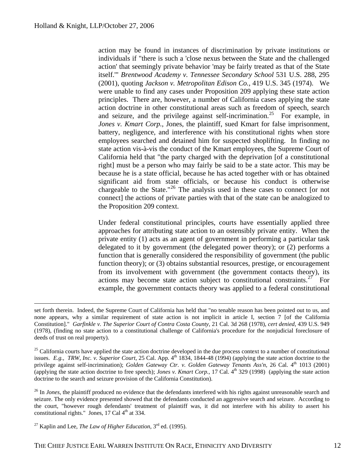<span id="page-13-0"></span>action may be found in instances of discrimination by private institutions or individuals if "there is such a 'close nexus between the State and the challenged action' that seemingly private behavior 'may be fairly treated as that of the State itself.'" *Brentwood Academy v. Tennessee Secondary School* 531 U.S. 288, 295 (2001), quoting *Jackson v. Metropolitan Edison Co.,* 419 U.S. 345 (1974). We were unable to find any cases under Proposition 209 applying these state action principles. There are, however, a number of California cases applying the state action doctrine in other constitutional areas such as freedom of speech, search and seizure, and the privilege against self-incrimination.<sup>[25](#page-13-0)</sup> For example, in *Jones v. Kmart Corp.*, Jones, the plaintiff, sued Kmart for false imprisonment, battery, negligence, and interference with his constitutional rights when store employees searched and detained him for suspected shoplifting. In finding no state action vis-à-vis the conduct of the Kmart employees, the Supreme Court of California held that "the party charged with the deprivation [of a constitutional right] must be a person who may fairly be said to be a state actor. This may be because he is a state official, because he has acted together with or has obtained significant aid from state officials, or because his conduct is otherwise chargeable to the State."<sup>[26](#page-13-0)</sup> The analysis used in these cases to connect [or not connect] the actions of private parties with that of the state can be analogized to the Proposition 209 context.

Under federal constitutional principles, courts have essentially applied three approaches for attributing state action to an ostensibly private entity. When the private entity (1) acts as an agent of government in performing a particular task delegated to it by government (the delegated power theory); or (2) performs a function that is generally considered the responsibility of government (the public function theory); or (3) obtains substantial resources, prestige, or encouragement from its involvement with government (the government contacts theory), its actions may become state action subject to constitutional constraints.<sup>[27](#page-13-0)</sup> For example, the government contacts theory was applied to a federal constitutional

set forth therein. Indeed, the Supreme Court of California has held that "no tenable reason has been pointed out to us, and none appears, why a similar requirement of state action is not implicit in article I, section 7 [of the California Constitution]." *Garfinkle v. The Superior Court of Contra Costa County,* 21 Cal. 3d 268 (1978), *cert denied*, 439 U.S. 949 (1978), (finding no state action to a constitutional challenge of California's procedure for the nonjudicial foreclosure of deeds of trust on real property).

 $^{25}$  California courts have applied the state action doctrine developed in the due process context to a number of constitutional issues. *E.g., TRW, Inc. v. Superior Court*, 25 Cal. App. 4th 1834, 1844-48 (1994) (applying the state action doctrine to the privilege against self-incrimination); *Golden Gateway Ctr. v. Golden Gateway Tenants Ass'n*, 26 Cal. 4<sup>th</sup> 1013 (2001) (applying the state action doctrine to free speech); *Jones v. Kmart Corp.,* 17 Cal. 4th 329 (1998) (applying the state action doctrine to the search and seizure provision of the California Constitution).

<sup>&</sup>lt;sup>26</sup> In *Jones*, the plaintiff produced no evidence that the defendants interfered with his rights against unreasonable search and seizure. The only evidence presented showed that the defendants conducted an aggressive search and seizure. According to the court, "however rough defendants' treatment of plaintiff was, it did not interfere with his ability to assert his constitutional rights." Jones, 17 Cal  $4<sup>th</sup>$  at 334.

<sup>&</sup>lt;sup>27</sup> Kaplin and Lee, *The Law of Higher Education*,  $3<sup>rd</sup>$  ed. (1995).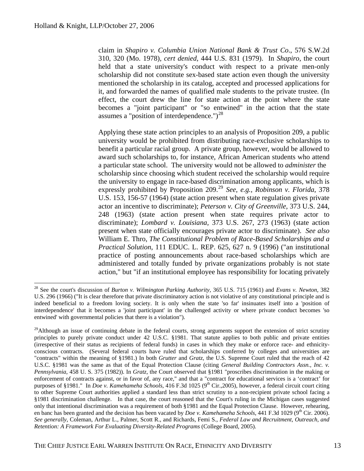<span id="page-14-0"></span>claim in *Shapiro v. Columbia Union National Bank & Trust Co*., 576 S.W.2d 310, 320 (Mo. 1978), *cert denied,* 444 U.S. 831 (1979). In *Shapiro*, the court held that a state university's conduct with respect to a private men-only scholarship did not constitute sex-based state action even though the university mentioned the scholarship in its catalog, accepted and processed applications for it, and forwarded the names of qualified male students to the private trustee*.* (In effect, the court drew the line for state action at the point where the state becomes a "joint participant" or "so entwined" in the action that the state assumes a "position of interdependence.") $^{28}$  $^{28}$  $^{28}$ 

Applying these state action principles to an analysis of Proposition 209, a public university would be prohibited from distributing race-exclusive scholarships to benefit a particular racial group. A private group, however, would be allowed to award such scholarships to, for instance, African American students who attend a particular state school. The university would not be allowed to *administer* the scholarship since choosing which student received the scholarship would require the university to engage in race-based discrimination among applicants, which is expressly prohibited by Proposition 209.<sup>[29](#page-14-0)</sup> *See, e.g., Robinson v. Florida*, 378 U.S. 153, 156-57 (1964) (state action present when state regulation gives private actor an incentive to discriminate); *Peterson v. City of Greenville*, 373 U.S. 244, 248 (1963) (state action present when state requires private actor to discriminate); *Lombard v. Louisiana,* 373 U.S. 267, 273 (1963) (state action present when state officially encourages private actor to discriminate). *See also*  William E. Thro, *The Constitutional Problem of Race-Based Scholarships and a Practical Solution*, 111 EDUC. L. REP. 625, 627 n. 9 (1996) ("an institutional practice of posting announcements about race-based scholarships which are administered and totally funded by private organizations probably is not state action," but "if an institutional employee has responsibility for locating privately

<sup>28</sup> See the court's discussion of *Burton v. Wilmington Parking Authority*, 365 U.S. 715 (1961) and *Evans v. Newton,* 382 U.S. 296 (1966) ("It is clear therefore that private discriminatory action is not violative of any constitutional principle and is indeed beneficial to a freedom loving society. It is only when the state 'so far' insinuates itself into a 'position of interdependence' that it becomes a 'joint participant' in the challenged activity or where private conduct becomes 'so entwined' with governmental policies that there is a violation").

 $29$ Although an issue of continuing debate in the federal courts, strong arguments support the extension of strict scrutiny principles to purely private conduct under 42 U.S.C. §1981. That statute applies to both public and private entities (irrespective of their status as recipients of federal funds) in cases in which they make or enforce race- and ethnicityconscious contracts. (Several federal courts have ruled that scholarships conferred by colleges and universities are "contracts" within the meaning of §1981.) In both *Grutter* and *Gratz*, the U.S. Supreme Court ruled that the reach of 42 U.S.C. §1981 was the same as that of the Equal Protection Clause (citing *General Building Contractors Assn., Inc. v. Pennsylvania*, 458 U. S. 375 (1982)). In *Gratz,* the Court observed that §1981 "proscribes discrimination in the making or enforcement of contracts against, or in favor of, any race," and that a "contract for educational services is a 'contract' for purposes of §1981." In *Doe v. Kamehameha Schools*, 416 F.3d 1025 (9<sup>th</sup> Cir.,2005), however, a federal circuit court citing to other Supreme Court authorities applied a standard less than strict scrutiny to a non-recipient private school facing a §1981 discrimination challenge. In that case, the court reasoned that the Court's ruling in the Michigan cases suggested only that intentional discrimination was a requirement of both §1981 and the Equal Protection Clause. However, rehearing, en banc has been granted and the decision has been vacated by *Doe v. Kamehameha Schools*, 441 F.3d 1029 (9<sup>th</sup> Cir. 2006). *See generally*, Coleman, Arthur L., Palmer, Scott R., and Richards, Femi S., *Federal Law and Recruitment, Outreach, and Retention: A Framework For Evaluating Diversity-Related Programs* (College Board, 2005).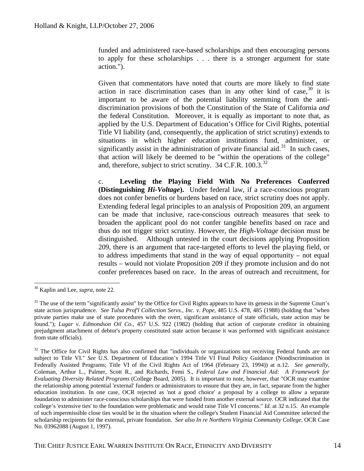<span id="page-15-0"></span>funded and administered race-based scholarships and then encouraging persons to apply for these scholarships . . . there is a stronger argument for state action.").

Given that commentators have noted that courts are more likely to find state action in race discrimination cases than in any other kind of case,  $30$  it is important to be aware of the potential liability stemming from the antidiscrimination provisions of both the Constitution of the State of California *and* the federal Constitution. Moreover, it is equally as important to note that, as applied by the U.S. Department of Education's Office for Civil Rights, potential Title VI liability (and, consequently, the application of strict scrutiny) extends to situations in which higher education institutions fund, administer, or significantly assist in the administration of private financial aid.<sup>[31](#page-15-0)</sup> In such cases, that action will likely be deemed to be "within the operations of the college" and, therefore, subject to strict scrutiny. 34 C.F.R. 100.3.<sup>[32](#page-15-0)</sup>

c. **Leveling the Playing Field With No Preferences Conferred (Distinguishing** *Hi-Voltage***).** Under federal law, if a race-conscious program does not confer benefits or burdens based on race, strict scrutiny does not apply. Extending federal legal principles to an analysis of Proposition 209, an argument can be made that inclusive, race-conscious outreach measures that seek to broaden the applicant pool do not confer tangible benefits based on race and thus do not trigger strict scrutiny. However, the *High-Voltage* decision must be distinguished. Although untested in the court decisions applying Proposition 209, there is an argument that race-targeted efforts to level the playing field, or to address impediments that stand in the way of equal opportunity – not equal results – would not violate Proposition 209 if they promote inclusion and do not confer preferences based on race. In the areas of outreach and recruitment, for

<sup>30</sup> Kaplin and Lee, *supra*, note 22*.*

<sup>&</sup>lt;sup>31</sup> The use of the term "significantly assist" by the Office for Civil Rights appears to have its genesis in the Supreme Court's state action jurisprudence. *See Tulsa Prof'l Collection Servs., Inc. v. Pope*, 485 U.S. 478, 485 (1988) (holding that "when private parties make use of state procedures with the overt, significant assistance of state officials, state action may be found."); *Lugar v. Edmondson Oil Co*., 457 U.S. 922 (1982) (holding that action of corporate creditor in obtaining prejudgment attachment of debtor's property constituted state action because it was performed with significant assistance from state officials).

 $32$  The Office for Civil Rights has also confirmed that "individuals or organizations not receiving Federal funds are not subject to Title VI." *See* U.S. Department of Education's 1994 Title VI Final Policy Guidance (Nondiscrimination in Federally Assisted Programs; Title VI of the Civil Rights Act of 1964 (February 23, 1994)) at n.12. *See generally*, Coleman, Arthur L., Palmer, Scott R., and Richards, Femi S., *Federal Law and Financial Aid: A Framework for Evaluating Diversity Related Programs* (College Board, 2005). It is important to note, however, that "OCR may examine the relationship among potential 'external' funders or administrators to ensure that they are, in fact, separate from the higher education institution. In one case, OCR rejected as 'not a good choice' a proposal by a college to allow a separate foundation to administer race-conscious scholarships that were funded from another external source. OCR indicated that the college's 'extensive ties' to the foundation were problematic and would raise Title VI concerns." *Id*. at 32 n.15. An example of such impermissible close ties would be in the situation where the college's Student Financial Aid Committee selected the scholarship recipients for the external, private foundation. *See also In re Northern Virginia Community College*, OCR Case No. 03962088 (August 1, 1997).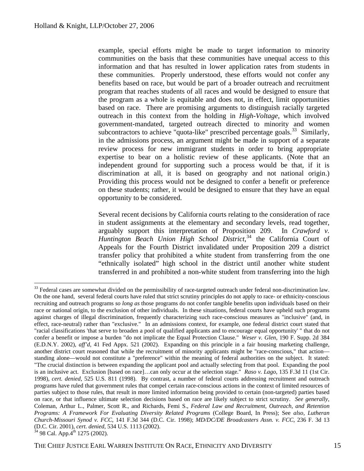<span id="page-16-0"></span>example, special efforts might be made to target information to minority communities on the basis that these communities have unequal access to this information and that has resulted in lower application rates from students in these communities. Properly understood, these efforts would not confer any benefits based on race, but would be part of a broader outreach and recruitment program that reaches students of all races and would be designed to ensure that the program as a whole is equitable and does not, in effect, limit opportunities based on race. There are promising arguments to distinguish racially targeted outreach in this context from the holding in *High-Voltage*, which involved government-mandated, targeted outreach directed to minority and women subcontractors to achieve "quota-like" prescribed percentage goals.<sup>[33](#page-16-0)</sup> Similarly, in the admissions process, an argument might be made in support of a separate review process for new immigrant students in order to bring appropriate expertise to bear on a holistic review of these applicants. (Note that an independent ground for supporting such a process would be that, if it is discrimination at all, it is based on geography and not national origin.) Providing this process would not be designed to confer a benefit or preference on these students; rather, it would be designed to ensure that they have an equal opportunity to be considered.

Several recent decisions by California courts relating to the consideration of race in student assignments at the elementary and secondary levels, read together, arguably support this interpretation of Proposition 209. In *Crawford v. Huntington Beach Union High School District*, [34](#page-16-0) the California Court of Appeals for the Fourth District invalidated under Proposition 209 a district transfer policy that prohibited a white student from transferring from the one "ethnically isolated" high school in the district until another white student transferred in and prohibited a non-white student from transferring into the high

<sup>&</sup>lt;sup>33</sup> Federal cases are somewhat divided on the permissibility of race-targeted outreach under federal non-discrimination law. On the one hand, several federal courts have ruled that strict scrutiny principles do not apply to race- or ethnicity-conscious recruiting and outreach programs *so long as* those programs do not confer tangible benefits upon individuals based on their race or national origin, to the exclusion of other individuals. In these situations, federal courts have upheld such programs against charges of illegal discrimination, frequently characterizing such race-conscious measures as "inclusive" (and, in effect, race-neutral) rather than "exclusive." In an admissions context, for example, one federal district court stated that "racial classifications 'that serve to broaden a pool of qualified applicants and to encourage equal opportunity' " that do not confer a benefit or impose a burden "do not implicate the Equal Protection Clause." *Weser v. Glen*, 190 F. Supp. 2d 384 (E.D.N.Y. 2002), *aff'd*, 41 Fed Appx. 521 (2002). Expanding on this principle in a fair housing marketing challenge, another district court reasoned that while the recruitment of minority applicants might be "race-conscious," that action standing alone—would not constitute a "preference" within the meaning of federal authorities on the subject. It stated: "The crucial distinction is between expanding the applicant pool and actually selecting from that pool. Expanding the pool is an inclusive act. Exclusion [based on race]…can only occur at the selection stage." *Raso v. Lago*, 135 F.3d 11 (1st Cir. 1998), *cert. denied*, 525 U.S. 811 (1998). By contrast, a number of federal courts addressing recruitment and outreach programs have ruled that government rules that compel certain race-conscious actions in the context of limited resources of parties subject to those rules, that result in more limited information being provided to certain (non-targeted) parties based on race, or that influence ultimate selection decisions based on race are likely subject to strict scrutiny. *See generally*, Coleman, Arthur L., Palmer, Scott R., and Richards, Femi S., *Federal Law and Recruitment, Outreach, and Retention Programs: A Framework For Evaluating Diversity Related Programs* (College Board, In Press); See *also*, *Lutheran Church-Missouri Synod v. FCC*, 141 F.3d 344 (D.C. Cir. 1998); *MD/DC/DE Broadcasters Assn. v. FCC*, 236 F. 3d 13 (D.C. Cir. 2001), *cert. denied*, 534 U.S. 1113 (2002).<br><sup>34</sup> 98 Cal. App.4<sup>th</sup> 1275 (2002).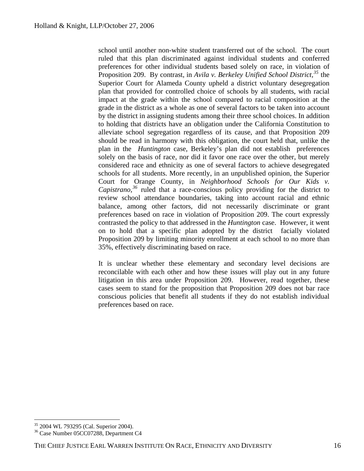<span id="page-17-0"></span>school until another non-white student transferred out of the school. The court ruled that this plan discriminated against individual students and conferred preferences for other individual students based solely on race, in violation of Proposition 209. By contrast, in *Avila v. Berkeley Unified School District,[35](#page-17-0)* the Superior Court for Alameda County upheld a district voluntary desegregation plan that provided for controlled choice of schools by all students, with racial impact at the grade within the school compared to racial composition at the grade in the district as a whole as one of several factors to be taken into account by the district in assigning students among their three school choices. In addition to holding that districts have an obligation under the California Constitution to alleviate school segregation regardless of its cause, and that Proposition 209 should be read in harmony with this obligation, the court held that, unlike the plan in the *Huntington* case, Berkeley's plan did not establish preferences solely on the basis of race, nor did it favor one race over the other, but merely considered race and ethnicity as one of several factors to achieve desegregated schools for all students. More recently, in an unpublished opinion, the Superior Court for Orange County, in *Neighborhood Schools for Our Kids v. Capistrano,[36](#page-17-0)* ruled that a race-conscious policy providing for the district to review school attendance boundaries, taking into account racial and ethnic balance, among other factors, did not necessarily discriminate or grant preferences based on race in violation of Proposition 209. The court expressly contrasted the policy to that addressed in the *Huntington* case. However, it went on to hold that a specific plan adopted by the district facially violated Proposition 209 by limiting minority enrollment at each school to no more than 35%, effectively discriminating based on race.

It is unclear whether these elementary and secondary level decisions are reconcilable with each other and how these issues will play out in any future litigation in this area under Proposition 209. However, read together, these cases seem to stand for the proposition that Proposition 209 does not bar race conscious policies that benefit all students if they do not establish individual preferences based on race.

<sup>35 2004</sup> WL 793295 (Cal. Superior 2004).

<sup>36</sup> Case Number 05CC07288, Department C4

THE CHIEF JUSTICE EARL WARREN INSTITUTE ON RACE. ETHNICITY AND DIVERSITY 16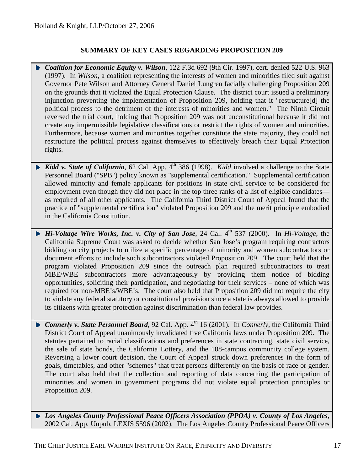#### **SUMMARY OF KEY CASES REGARDING PROPOSITION 209**

- *Coalition for Economic Equity v. Wilson*, 122 F.3d 692 (9th Cir. 1997), cert. denied 522 U.S. 963 (1997). In *Wilson*, a coalition representing the interests of women and minorities filed suit against Governor Pete Wilson and Attorney General Daniel Lungren facially challenging Proposition 209 on the grounds that it violated the Equal Protection Clause. The district court issued a preliminary injunction preventing the implementation of Proposition 209, holding that it "restructure[d] the political process to the detriment of the interests of minorities and women." The Ninth Circuit reversed the trial court, holding that Proposition 209 was not unconstitutional because it did not create any impermissible legislative classifications or restrict the rights of women and minorities. Furthermore, because women and minorities together constitute the state majority, they could not restructure the political process against themselves to effectively breach their Equal Protection rights.
- **Kidd v. State of California**, 62 Cal. App.  $4^{\text{th}}$  386 (1998). *Kidd* involved a challenge to the State Personnel Board ("SPB") policy known as "supplemental certification." Supplemental certification allowed minority and female applicants for positions in state civil service to be considered for employment even though they did not place in the top three ranks of a list of eligible candidates as required of all other applicants. The California Third District Court of Appeal found that the practice of "supplemental certification" violated Proposition 209 and the merit principle embodied in the California Constitution.
- *Hi-Voltage Wire Works, Inc. v. City of San Jose, 24 Cal. 4<sup>th</sup> 537 (2000). In <i>Hi-Voltage*, the California Supreme Court was asked to decide whether San Jose's program requiring contractors bidding on city projects to utilize a specific percentage of minority and women subcontractors or document efforts to include such subcontractors violated Proposition 209. The court held that the program violated Proposition 209 since the outreach plan required subcontractors to treat MBE/WBE subcontractors more advantageously by providing them notice of bidding opportunities, soliciting their participation, and negotiating for their services – none of which was required for non-MBE's/WBE's. The court also held that Proposition 209 did not require the city to violate any federal statutory or constitutional provision since a state is always allowed to provide its citizens with greater protection against discrimination than federal law provides.
- ▶ *Connerly v. State Personnel Board*, 92 Cal. App. 4<sup>th</sup> 16 (2001). In *Connerly*, the California Third District Court of Appeal unanimously invalidated five California laws under Proposition 209. The statutes pertained to racial classifications and preferences in state contracting, state civil service, the sale of state bonds, the California Lottery, and the 108-campus community college system. Reversing a lower court decision, the Court of Appeal struck down preferences in the form of goals, timetables, and other "schemes" that treat persons differently on the basis of race or gender. The court also held that the collection and reporting of data concerning the participation of minorities and women in government programs did not violate equal protection principles or Proposition 209.
- *Los Angeles County Professional Peace Officers Association (PPOA) v. County of Los Angeles*, 2002 Cal. App. Unpub. LEXIS 5596 (2002). The Los Angeles County Professional Peace Officers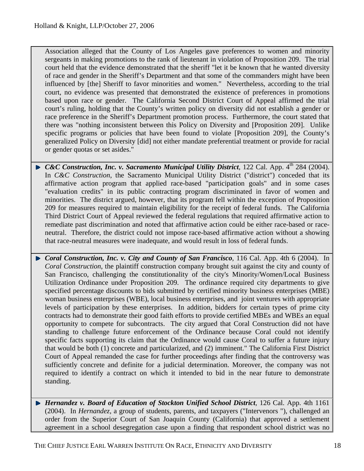Association alleged that the County of Los Angeles gave preferences to women and minority sergeants in making promotions to the rank of lieutenant in violation of Proposition 209. The trial court held that the evidence demonstrated that the sheriff "let it be known that he wanted diversity of race and gender in the Sheriff's Department and that some of the commanders might have been influenced by [the] Sheriff to favor minorities and women." Nevertheless, according to the trial court, no evidence was presented that demonstrated the existence of preferences in promotions based upon race or gender. The California Second District Court of Appeal affirmed the trial court's ruling, holding that the County's written policy on diversity did not establish a gender or race preference in the Sheriff's Department promotion process. Furthermore, the court stated that there was "nothing inconsistent between this Policy on Diversity and [Proposition 209]. Unlike specific programs or policies that have been found to violate [Proposition 209], the County's generalized Policy on Diversity [did] not either mandate preferential treatment or provide for racial or gender quotas or set asides."

- ► *C&C Construction, Inc. v. Sacramento Municipal Utility District*, 122 Cal. App. 4<sup>th</sup> 284 (2004). In *C&C Construction*, the Sacramento Municipal Utility District ("district") conceded that its affirmative action program that applied race-based "participation goals" and in some cases "evaluation credits" in its public contracting program discriminated in favor of women and minorities. The district argued, however, that its program fell within the exception of Proposition 209 for measures required to maintain eligibility for the receipt of federal funds. The California Third District Court of Appeal reviewed the federal regulations that required affirmative action to remediate past discrimination and noted that affirmative action could be either race-based or raceneutral. Therefore, the district could not impose race-based affirmative action without a showing that race-neutral measures were inadequate, and would result in loss of federal funds.
- *Coral Construction, Inc. v. City and County of San Francisco*, 116 Cal. App. 4th 6 (2004). In *Coral Construction*, the plaintiff construction company brought suit against the city and county of San Francisco, challenging the constitutionality of the city's Minority/Women/Local Business Utilization Ordinance under Proposition 209. The ordinance required city departments to give specified percentage discounts to bids submitted by certified minority business enterprises (MBE) woman business enterprises (WBE), local business enterprises, and joint ventures with appropriate levels of participation by these enterprises. In addition, bidders for certain types of prime city contracts had to demonstrate their good faith efforts to provide certified MBEs and WBEs an equal opportunity to compete for subcontracts. The city argued that Coral Construction did not have standing to challenge future enforcement of the Ordinance because Coral could not identify specific facts supporting its claim that the Ordinance would cause Coral to suffer a future injury that would be both (1) concrete and particularized, and (2) imminent." The California First District Court of Appeal remanded the case for further proceedings after finding that the controversy was sufficiently concrete and definite for a judicial determination. Moreover, the company was not required to identify a contract on which it intended to bid in the near future to demonstrate standing.
- *Hernandez v. Board of Education of Stockton Unified School District*, 126 Cal. App. 4th 1161 (2004). In *Hernandez,* a group of students, parents, and taxpayers ("Intervenors "), challenged an order from the Superior Court of San Joaquin County (California) that approved a settlement agreement in a school desegregation case upon a finding that respondent school district was no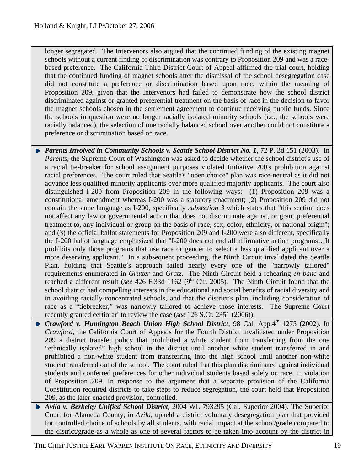longer segregated. The Intervenors also argued that the continued funding of the existing magnet schools without a current finding of discrimination was contrary to Proposition 209 and was a racebased preference. The California Third District Court of Appeal affirmed the trial court, holding that the continued funding of magnet schools after the dismissal of the school desegregation case did not constitute a preference or discrimination based upon race, within the meaning of Proposition 209, given that the Intervenors had failed to demonstrate how the school district discriminated against or granted preferential treatment on the basis of race in the decision to favor the magnet schools chosen in the settlement agreement to continue receiving public funds. Since the schools in question were no longer racially isolated minority schools (*i.e.,* the schools were racially balanced), the selection of one racially balanced school over another could not constitute a preference or discrimination based on race.

- **Parents Involved in Community Schools v. Seattle School District No. 1, 72 P. 3d 151 (2003).** In *Parents*, the Supreme Court of Washington was asked to decide whether the school district's use of a racial tie-breaker for school assignment purposes violated Initiative 200's prohibition against racial preferences. The court ruled that Seattle's "open choice" plan was race-neutral as it did not advance less qualified minority applicants over more qualified majority applicants. The court also distinguished I-200 from Proposition 209 in the following ways: (1) Proposition 209 was a constitutional amendment whereas I-200 was a statutory enactment; (2) Proposition 209 did not contain the same language as I-200, specifically *subsection 3* which states that "this section does not affect any law or governmental action that does not discriminate against, or grant preferential treatment to, any individual or group on the basis of race, sex, color, ethnicity, or national origin"; and (3) the official ballot statements for Proposition 209 and I-200 were also different, specifically the I-200 ballot language emphasized that "I-200 does not end all affirmative action programs…It prohibits only those programs that use race or gender to select a less qualified applicant over a more deserving applicant." In a subsequent proceeding, the Ninth Circuit invalidated the Seattle Plan, holding that Seattle's approach failed nearly every one of the "narrowly tailored" requirements enumerated in *Grutter* and *Gratz*. The Ninth Circuit held a rehearing *en banc* and reached a different result (*see* 426 F.33d 1162 (9<sup>th</sup> Cir. 2005). The Ninth Circuit found that the school district had compelling interests in the educational and social benefits of racial diversity and in avoiding racially-concentrated schools, and that the district's plan, including consideration of race as a "tiebreaker," was narrowly tailored to achieve those interests. The Supreme Court recently granted certiorari to review the case (*see* 126 S.Ct. 2351 (2006)).
- **F** Crawford v. Huntington Beach Union High School District, 98 Cal. App. 4<sup>th</sup> 1275 (2002). In *Crawford,* the California Court of Appeals for the Fourth District invalidated under Proposition 209 a district transfer policy that prohibited a white student from transferring from the one "ethnically isolated" high school in the district until another white student transferred in and prohibited a non-white student from transferring into the high school until another non-white student transferred out of the school. The court ruled that this plan discriminated against individual students and conferred preferences for other individual students based solely on race, in violation of Proposition 209. In response to the argument that a separate provision of the California Constitution required districts to take steps to reduce segregation, the court held that Proposition 209, as the later-enacted provision, controlled.
- *Avila v. Berkeley Unified School District,* 2004 WL 793295 (Cal. Superior 2004). The Superior Court for Alameda County, in *Avila*, upheld a district voluntary desegregation plan that provided for controlled choice of schools by all students, with racial impact at the school/grade compared to the district/grade as a whole as one of several factors to be taken into account by the district in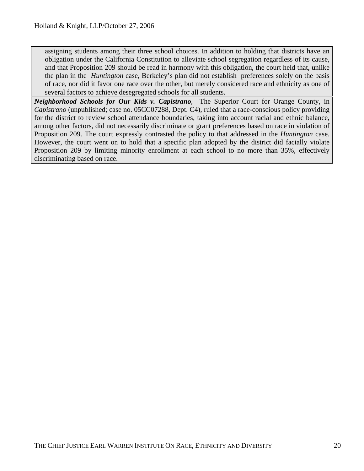assigning students among their three school choices. In addition to holding that districts have an obligation under the California Constitution to alleviate school segregation regardless of its cause, and that Proposition 209 should be read in harmony with this obligation, the court held that, unlike the plan in the *Huntington* case, Berkeley's plan did not establish preferences solely on the basis of race, nor did it favor one race over the other, but merely considered race and ethnicity as one of several factors to achieve desegregated schools for all students.

*Neighborhood Schools for Our Kids v. Capistrano,* The Superior Court for Orange County, in *Capistrano* (unpublished; case no. 05CC07288, Dept. C4), ruled that a race-conscious policy providing for the district to review school attendance boundaries, taking into account racial and ethnic balance, among other factors, did not necessarily discriminate or grant preferences based on race in violation of Proposition 209. The court expressly contrasted the policy to that addressed in the *Huntington* case. However, the court went on to hold that a specific plan adopted by the district did facially violate Proposition 209 by limiting minority enrollment at each school to no more than 35%, effectively discriminating based on race.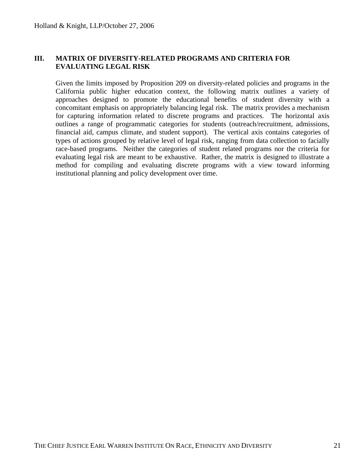#### **III. MATRIX OF DIVERSITY-RELATED PROGRAMS AND CRITERIA FOR EVALUATING LEGAL RISK**

Given the limits imposed by Proposition 209 on diversity-related policies and programs in the California public higher education context, the following matrix outlines a variety of approaches designed to promote the educational benefits of student diversity with a concomitant emphasis on appropriately balancing legal risk. The matrix provides a mechanism for capturing information related to discrete programs and practices. The horizontal axis outlines a range of programmatic categories for students (outreach/recruitment, admissions, financial aid, campus climate, and student support). The vertical axis contains categories of types of actions grouped by relative level of legal risk, ranging from data collection to facially race-based programs. Neither the categories of student related programs nor the criteria for evaluating legal risk are meant to be exhaustive. Rather, the matrix is designed to illustrate a method for compiling and evaluating discrete programs with a view toward informing institutional planning and policy development over time.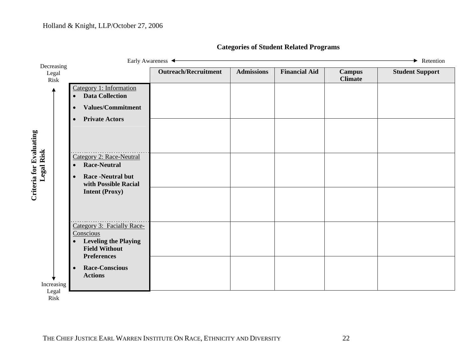| $\rightarrow$ Retention<br>Early Awareness $\triangleleft$                                                                                                                                                                          |                             |                   |                      |                                 |                        |  |
|-------------------------------------------------------------------------------------------------------------------------------------------------------------------------------------------------------------------------------------|-----------------------------|-------------------|----------------------|---------------------------------|------------------------|--|
|                                                                                                                                                                                                                                     | <b>Outreach/Recruitment</b> | <b>Admissions</b> | <b>Financial Aid</b> | <b>Campus</b><br><b>Climate</b> | <b>Student Support</b> |  |
| Category 1: Information<br><b>Data Collection</b><br><b>Values/Commitment</b><br>$\bullet$<br><b>Private Actors</b><br>$\bullet$<br><b>Category 2: Race-Neutral</b><br><b>Race-Neutral</b><br><b>Race -Neutral but</b><br>$\bullet$ |                             |                   |                      |                                 |                        |  |
| with Possible Racial<br><b>Intent (Proxy)</b><br>Category 3: Facially Race-                                                                                                                                                         |                             |                   |                      |                                 |                        |  |
| Conscious<br><b>Leveling the Playing</b><br>$\bullet$<br><b>Field Without</b><br><b>Preferences</b><br><b>Race-Conscious</b><br>$\bullet$<br><b>Actions</b>                                                                         |                             |                   |                      |                                 |                        |  |
|                                                                                                                                                                                                                                     | Decreasing<br>Increasing    |                   |                      |                                 |                        |  |

# **Categories of Student Related Programs**